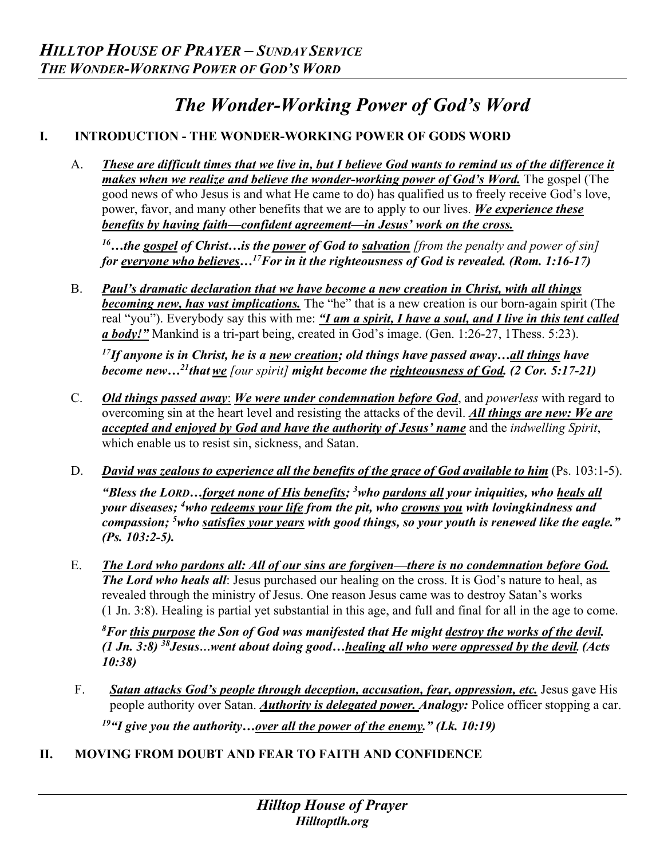## *The Wonder-Working Power of God's Word*

## **I. INTRODUCTION - THE WONDER-WORKING POWER OF GODS WORD**

A. *These are difficult times that we live in, but I believe God wants to remind us of the difference it makes when we realize and believe the wonder-working power of God's Word.* The gospel (The good news of who Jesus is and what He came to do) has qualified us to freely receive God's love, power, favor, and many other benefits that we are to apply to our lives. *We experience these benefits by having faith—confident agreement—in Jesus' work on the cross.*

*16…the gospel of Christ…is the power of God to salvation [from the penalty and power of sin] for everyone who believes…17For in it the righteousness of God is revealed. (Rom. 1:16-17)*

B. *Paul's dramatic declaration that we have become a new creation in Christ, with all things becoming new, has vast implications.* The "he" that is a new creation is our born-again spirit (The real "you"). Everybody say this with me: *"I am a spirit, I have a soul, and I live in this tent called a body!"* Mankind is a tri-part being, created in God's image. (Gen. 1:26-27, 1Thess. 5:23).

*17If anyone is in Christ, he is a new creation; old things have passed away…all things have become new…21thatwe [our spirit] might become the righteousness of God. (2 Cor. 5:17-21)* 

- C. *Old things passed away*: *We were under condemnation before God*, and *powerless* with regard to overcoming sin at the heart level and resisting the attacks of the devil. *All things are new: We are accepted and enjoyed by God and have the authority of Jesus' name* and the *indwelling Spirit*, which enable us to resist sin, sickness, and Satan.
- D. *David was zealous to experience all the benefits of the grace of God available to him* (Ps. 103:1-5). *"Bless the LORD…forget none of His benefits; 3 who pardons all your iniquities, who heals all your diseases; 4 who redeems your life from the pit, who crowns you with lovingkindness and compassion; 5 who satisfies your years with good things, so your youth is renewed like the eagle." (Ps. 103:2-5).*
- E. *The Lord who pardons all: All of our sins are forgiven—there is no condemnation before God. The Lord who heals all*: Jesus purchased our healing on the cross. It is God's nature to heal, as revealed through the ministry of Jesus. One reason Jesus came was to destroy Satan's works (1 Jn. 3:8). Healing is partial yet substantial in this age, and full and final for all in the age to come.

*8 For this purpose the Son of God was manifested that He might destroy the works of the devil. (1 Jn. 3:8) 38Jesus…went about doing good…healing all who were oppressed by the devil. (Acts 10:38)* 

- F. *Satan attacks God's people through deception, accusation, fear, oppression, etc.* Jesus gave His people authority over Satan. *Authority is delegated power. Analogy:* Police officer stopping a car. *19"I give you the authority…over all the power of the enemy." (Lk. 10:19)*
- **II. MOVING FROM DOUBT AND FEAR TO FAITH AND CONFIDENCE**